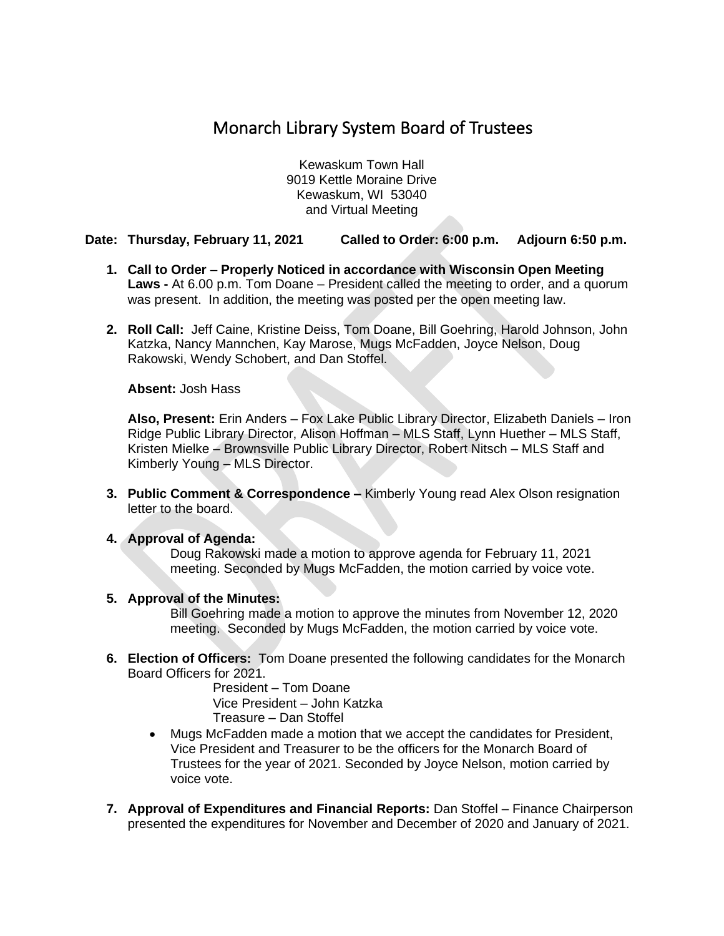## Monarch Library System Board of Trustees

Kewaskum Town Hall 9019 Kettle Moraine Drive Kewaskum, WI 53040 and Virtual Meeting

**Date: Thursday, February 11, 2021 Called to Order: 6:00 p.m. Adjourn 6:50 p.m.**

- **1. Call to Order Properly Noticed in accordance with Wisconsin Open Meeting Laws -** At 6.00 p.m. Tom Doane – President called the meeting to order, and a quorum was present. In addition, the meeting was posted per the open meeting law.
- **2. Roll Call:** Jeff Caine, Kristine Deiss, Tom Doane, Bill Goehring, Harold Johnson, John Katzka, Nancy Mannchen, Kay Marose, Mugs McFadden, Joyce Nelson, Doug Rakowski, Wendy Schobert, and Dan Stoffel.

**Absent:** Josh Hass

**Also, Present:** Erin Anders – Fox Lake Public Library Director, Elizabeth Daniels – Iron Ridge Public Library Director, Alison Hoffman – MLS Staff, Lynn Huether – MLS Staff, Kristen Mielke – Brownsville Public Library Director, Robert Nitsch – MLS Staff and Kimberly Young – MLS Director.

- **3. Public Comment & Correspondence –** Kimberly Young read Alex Olson resignation letter to the board.
- **4. Approval of Agenda:**

Doug Rakowski made a motion to approve agenda for February 11, 2021 meeting. Seconded by Mugs McFadden, the motion carried by voice vote.

**5. Approval of the Minutes:**

Bill Goehring made a motion to approve the minutes from November 12, 2020 meeting. Seconded by Mugs McFadden, the motion carried by voice vote.

**6. Election of Officers:** Tom Doane presented the following candidates for the Monarch Board Officers for 2021.

President – Tom Doane Vice President – John Katzka Treasure – Dan Stoffel

- Mugs McFadden made a motion that we accept the candidates for President, Vice President and Treasurer to be the officers for the Monarch Board of Trustees for the year of 2021. Seconded by Joyce Nelson, motion carried by voice vote.
- **7. Approval of Expenditures and Financial Reports:** Dan Stoffel Finance Chairperson presented the expenditures for November and December of 2020 and January of 2021.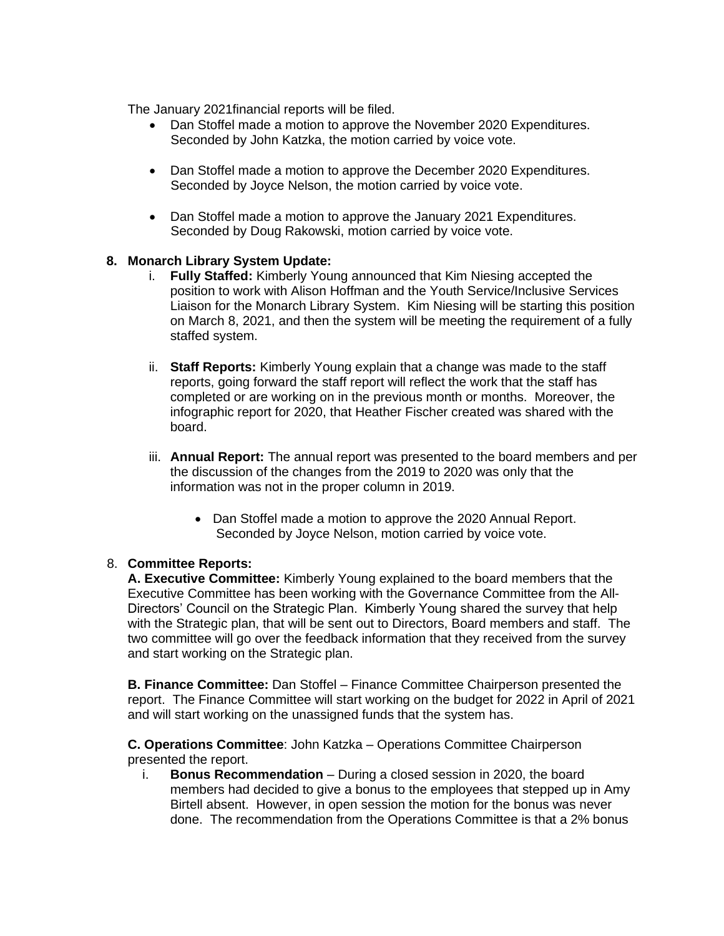The January 2021financial reports will be filed.

- Dan Stoffel made a motion to approve the November 2020 Expenditures. Seconded by John Katzka, the motion carried by voice vote.
- Dan Stoffel made a motion to approve the December 2020 Expenditures. Seconded by Joyce Nelson, the motion carried by voice vote.
- Dan Stoffel made a motion to approve the January 2021 Expenditures. Seconded by Doug Rakowski, motion carried by voice vote.

## **8. Monarch Library System Update:**

- i. **Fully Staffed:** Kimberly Young announced that Kim Niesing accepted the position to work with Alison Hoffman and the Youth Service/Inclusive Services Liaison for the Monarch Library System. Kim Niesing will be starting this position on March 8, 2021, and then the system will be meeting the requirement of a fully staffed system.
- ii. **Staff Reports:** Kimberly Young explain that a change was made to the staff reports, going forward the staff report will reflect the work that the staff has completed or are working on in the previous month or months. Moreover, the infographic report for 2020, that Heather Fischer created was shared with the board.
- iii. **Annual Report:** The annual report was presented to the board members and per the discussion of the changes from the 2019 to 2020 was only that the information was not in the proper column in 2019.
	- Dan Stoffel made a motion to approve the 2020 Annual Report. Seconded by Joyce Nelson, motion carried by voice vote.

## 8. **Committee Reports:**

**A. Executive Committee:** Kimberly Young explained to the board members that the Executive Committee has been working with the Governance Committee from the All-Directors' Council on the Strategic Plan. Kimberly Young shared the survey that help with the Strategic plan, that will be sent out to Directors, Board members and staff. The two committee will go over the feedback information that they received from the survey and start working on the Strategic plan.

**B. Finance Committee:** Dan Stoffel – Finance Committee Chairperson presented the report. The Finance Committee will start working on the budget for 2022 in April of 2021 and will start working on the unassigned funds that the system has.

**C. Operations Committee**: John Katzka – Operations Committee Chairperson presented the report.

i. **Bonus Recommendation** – During a closed session in 2020, the board members had decided to give a bonus to the employees that stepped up in Amy Birtell absent. However, in open session the motion for the bonus was never done. The recommendation from the Operations Committee is that a 2% bonus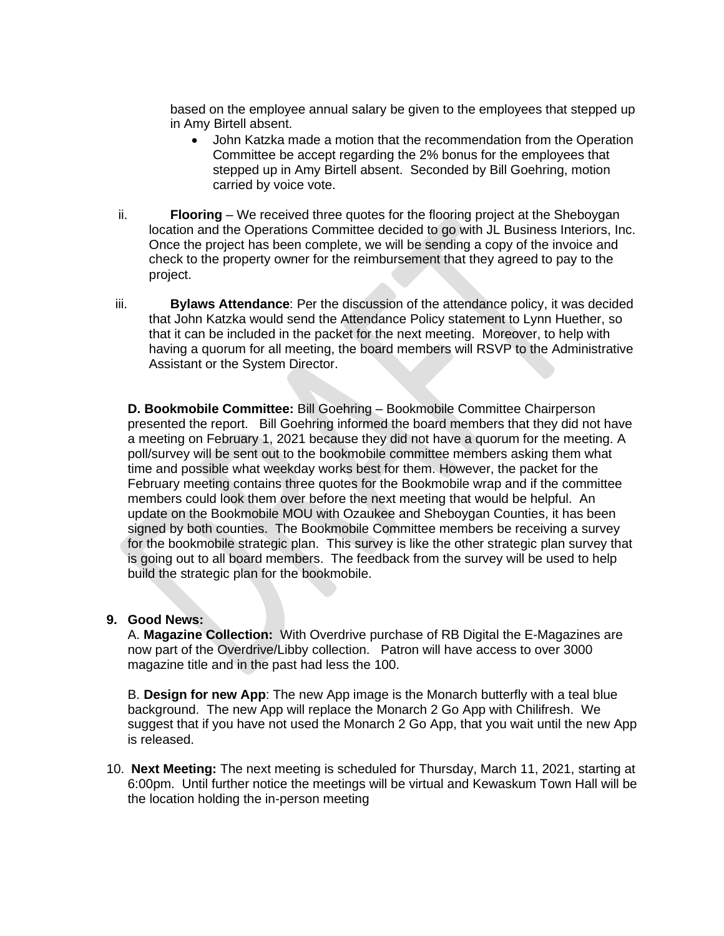based on the employee annual salary be given to the employees that stepped up in Amy Birtell absent.

- John Katzka made a motion that the recommendation from the Operation Committee be accept regarding the 2% bonus for the employees that stepped up in Amy Birtell absent. Seconded by Bill Goehring, motion carried by voice vote.
- ii. **Flooring** We received three quotes for the flooring project at the Sheboygan location and the Operations Committee decided to go with JL Business Interiors, Inc. Once the project has been complete, we will be sending a copy of the invoice and check to the property owner for the reimbursement that they agreed to pay to the project.
- iii. **Bylaws Attendance**: Per the discussion of the attendance policy, it was decided that John Katzka would send the Attendance Policy statement to Lynn Huether, so that it can be included in the packet for the next meeting. Moreover, to help with having a quorum for all meeting, the board members will RSVP to the Administrative Assistant or the System Director.

**D. Bookmobile Committee:** Bill Goehring – Bookmobile Committee Chairperson presented the report. Bill Goehring informed the board members that they did not have a meeting on February 1, 2021 because they did not have a quorum for the meeting. A poll/survey will be sent out to the bookmobile committee members asking them what time and possible what weekday works best for them. However, the packet for the February meeting contains three quotes for the Bookmobile wrap and if the committee members could look them over before the next meeting that would be helpful. An update on the Bookmobile MOU with Ozaukee and Sheboygan Counties, it has been signed by both counties. The Bookmobile Committee members be receiving a survey for the bookmobile strategic plan. This survey is like the other strategic plan survey that is going out to all board members. The feedback from the survey will be used to help build the strategic plan for the bookmobile.

## **9. Good News:**

A. **Magazine Collection:** With Overdrive purchase of RB Digital the E-Magazines are now part of the Overdrive/Libby collection. Patron will have access to over 3000 magazine title and in the past had less the 100.

B. **Design for new App**: The new App image is the Monarch butterfly with a teal blue background. The new App will replace the Monarch 2 Go App with Chilifresh. We suggest that if you have not used the Monarch 2 Go App, that you wait until the new App is released.

10. **Next Meeting:** The next meeting is scheduled for Thursday, March 11, 2021, starting at 6:00pm. Until further notice the meetings will be virtual and Kewaskum Town Hall will be the location holding the in-person meeting